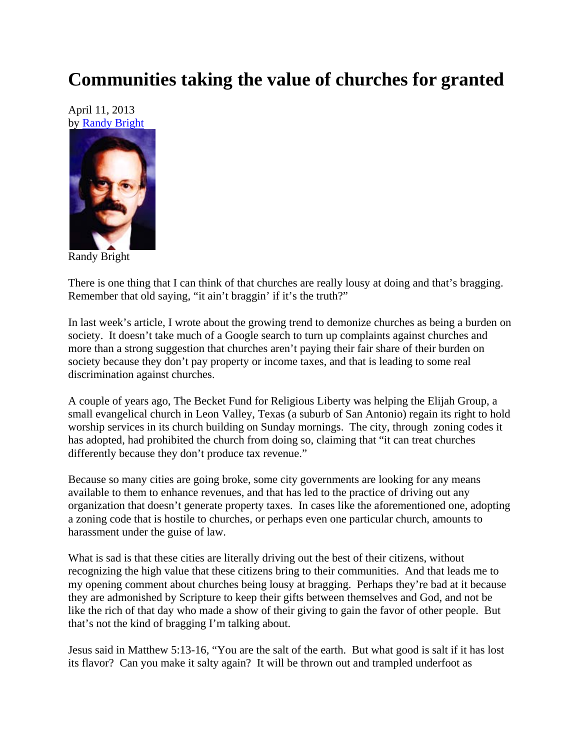## **Communities taking the value of churches for granted**

April 11, 2013 by Randy Bright



Randy Bright

There is one thing that I can think of that churches are really lousy at doing and that's bragging. Remember that old saying, "it ain't braggin' if it's the truth?"

In last week's article, I wrote about the growing trend to demonize churches as being a burden on society. It doesn't take much of a Google search to turn up complaints against churches and more than a strong suggestion that churches aren't paying their fair share of their burden on society because they don't pay property or income taxes, and that is leading to some real discrimination against churches.

A couple of years ago, The Becket Fund for Religious Liberty was helping the Elijah Group, a small evangelical church in Leon Valley, Texas (a suburb of San Antonio) regain its right to hold worship services in its church building on Sunday mornings. The city, through zoning codes it has adopted, had prohibited the church from doing so, claiming that "it can treat churches differently because they don't produce tax revenue."

Because so many cities are going broke, some city governments are looking for any means available to them to enhance revenues, and that has led to the practice of driving out any organization that doesn't generate property taxes. In cases like the aforementioned one, adopting a zoning code that is hostile to churches, or perhaps even one particular church, amounts to harassment under the guise of law.

What is sad is that these cities are literally driving out the best of their citizens, without recognizing the high value that these citizens bring to their communities. And that leads me to my opening comment about churches being lousy at bragging. Perhaps they're bad at it because they are admonished by Scripture to keep their gifts between themselves and God, and not be like the rich of that day who made a show of their giving to gain the favor of other people. But that's not the kind of bragging I'm talking about.

Jesus said in Matthew 5:13-16, "You are the salt of the earth. But what good is salt if it has lost its flavor? Can you make it salty again? It will be thrown out and trampled underfoot as